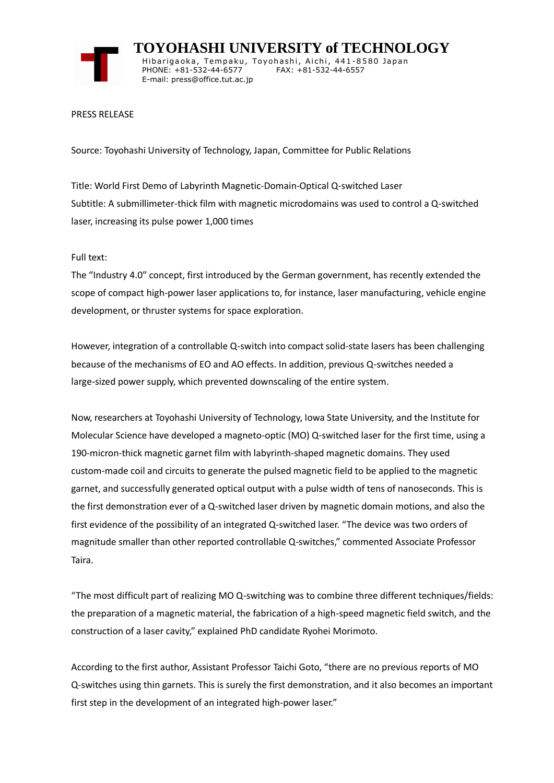

 **TOYOHASHI UNIVERSITY of TECHNOLOGY** Hibarigaoka, Tempaku, Toyohashi, Aichi, 441-8580 Japan PHONE: +81-532-44-6577 FAX: +81-532-44-6557 E-mail: press@office.tut.ac.jp

## PRESS RELEASE

Source: Toyohashi University of Technology, Japan, Committee for Public Relations

Title: World First Demo of Labyrinth Magnetic-Domain-Optical Q-switched Laser Subtitle: A submillimeter-thick film with magnetic microdomains was used to control a Q-switched laser, increasing its pulse power 1,000 times

Full text:

The "Industry 4.0" concept, first introduced by the German government, has recently extended the scope of compact high-power laser applications to, for instance, laser manufacturing, vehicle engine development, or thruster systems for space exploration.

However, integration of a controllable Q-switch into compact solid-state lasers has been challenging because of the mechanisms of EO and AO effects. In addition, previous Q-switches needed a large-sized power supply, which prevented downscaling of the entire system.

Now, researchers at Toyohashi University of Technology, Iowa State University, and the Institute for Molecular Science have developed a magneto-optic (MO) Q-switched laser for the first time, using a 190-micron-thick magnetic garnet film with labyrinth-shaped magnetic domains. They used custom-made coil and circuits to generate the pulsed magnetic field to be applied to the magnetic garnet, and successfully generated optical output with a pulse width of tens of nanoseconds. This is the first demonstration ever of a Q-switched laser driven by magnetic domain motions, and also the first evidence of the possibility of an integrated Q-switched laser. "The device was two orders of magnitude smaller than other reported controllable Q-switches," commented Associate Professor Taira.

"The most difficult part of realizing MO Q-switching was to combine three different techniques/fields: the preparation of a magnetic material, the fabrication of a high-speed magnetic field switch, and the construction of a laser cavity," explained PhD candidate Ryohei Morimoto.

According to the first author, Assistant Professor Taichi Goto, "there are no previous reports of MO Q-switches using thin garnets. This is surely the first demonstration, and it also becomes an important first step in the development of an integrated high-power laser."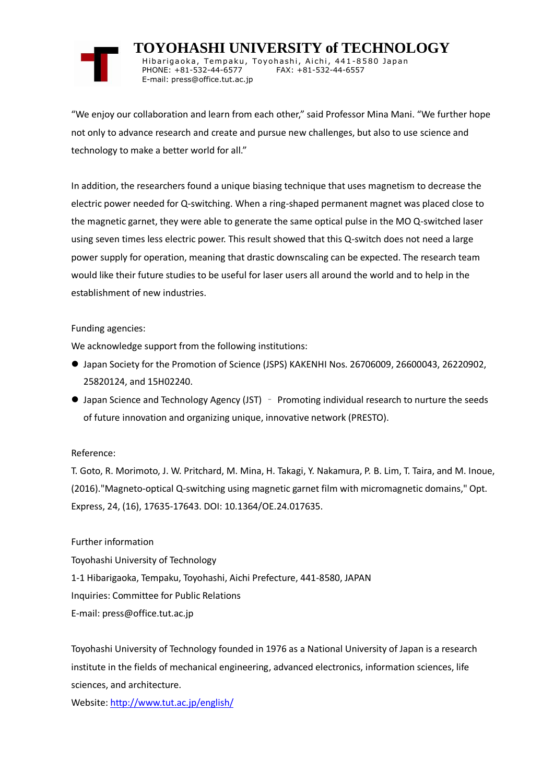

 **TOYOHASHI UNIVERSITY of TECHNOLOGY** Hibarigaoka, Tempaku, Toyohashi, Aichi, 441-8580 Japan PHONE: +81-532-44-6577 FAX: +81-532-44-6557 E-mail: press@office.tut.ac.jp

"We enjoy our collaboration and learn from each other," said Professor Mina Mani. "We further hope not only to advance research and create and pursue new challenges, but also to use science and technology to make a better world for all."

In addition, the researchers found a unique biasing technique that uses magnetism to decrease the electric power needed for Q-switching. When a ring-shaped permanent magnet was placed close to the magnetic garnet, they were able to generate the same optical pulse in the MO Q-switched laser using seven times less electric power. This result showed that this Q-switch does not need a large power supply for operation, meaning that drastic downscaling can be expected. The research team would like their future studies to be useful for laser users all around the world and to help in the establishment of new industries.

## Funding agencies:

We acknowledge support from the following institutions:

- Japan Society for the Promotion of Science (JSPS) KAKENHI Nos. 26706009, 26600043, 26220902, 25820124, and 15H02240.
- Japan Science and Technology Agency (JST) Promoting individual research to nurture the seeds of future innovation and organizing unique, innovative network (PRESTO).

## Reference:

T. Goto, R. Morimoto, J. W. Pritchard, M. Mina, H. Takagi, Y. Nakamura, P. B. Lim, T. Taira, and M. Inoue, (2016)."Magneto-optical Q-switching using magnetic garnet film with micromagnetic domains," Opt. Express, 24, (16), 17635-17643. DOI: 10.1364/OE.24.017635.

Further information

Toyohashi University of Technology

1-1 Hibarigaoka, Tempaku, Toyohashi, Aichi Prefecture, 441-8580, JAPAN

Inquiries: Committee for Public Relations

E-mail: press@office.tut.ac.jp

Toyohashi University of Technology founded in 1976 as a National University of Japan is a research institute in the fields of mechanical engineering, advanced electronics, information sciences, life sciences, and architecture.

Website[: http://www.tut.ac.jp/english/](https://www.tut.ac.jp/english/)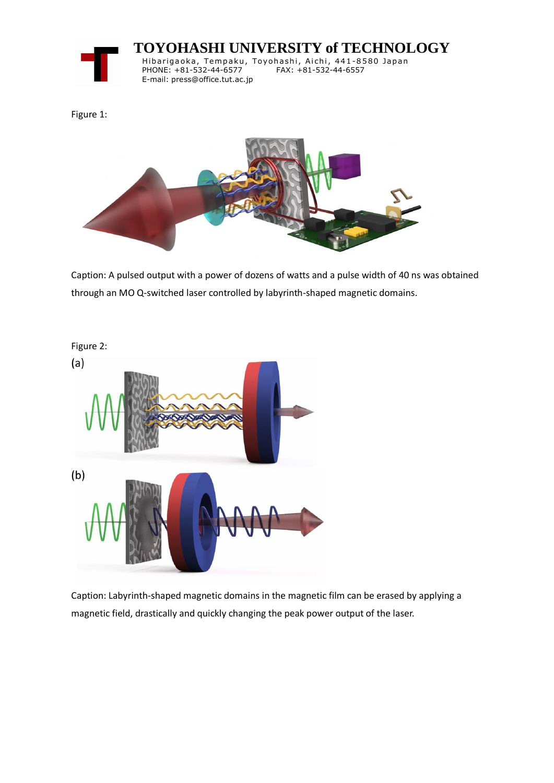

 **TOYOHASHI UNIVERSITY of TECHNOLOGY**

Hibarigaoka, Tempaku, Toyohashi, Aichi, 441-8580 Japan PHONE: +81-532-44-6577 FAX: +81-532-44-6557 E-mail: press@office.tut.ac.jp

Figure 1:



Caption: A pulsed output with a power of dozens of watts and a pulse width of 40 ns was obtained through an MO Q-switched laser controlled by labyrinth-shaped magnetic domains.



Caption: Labyrinth-shaped magnetic domains in the magnetic film can be erased by applying a magnetic field, drastically and quickly changing the peak power output of the laser.